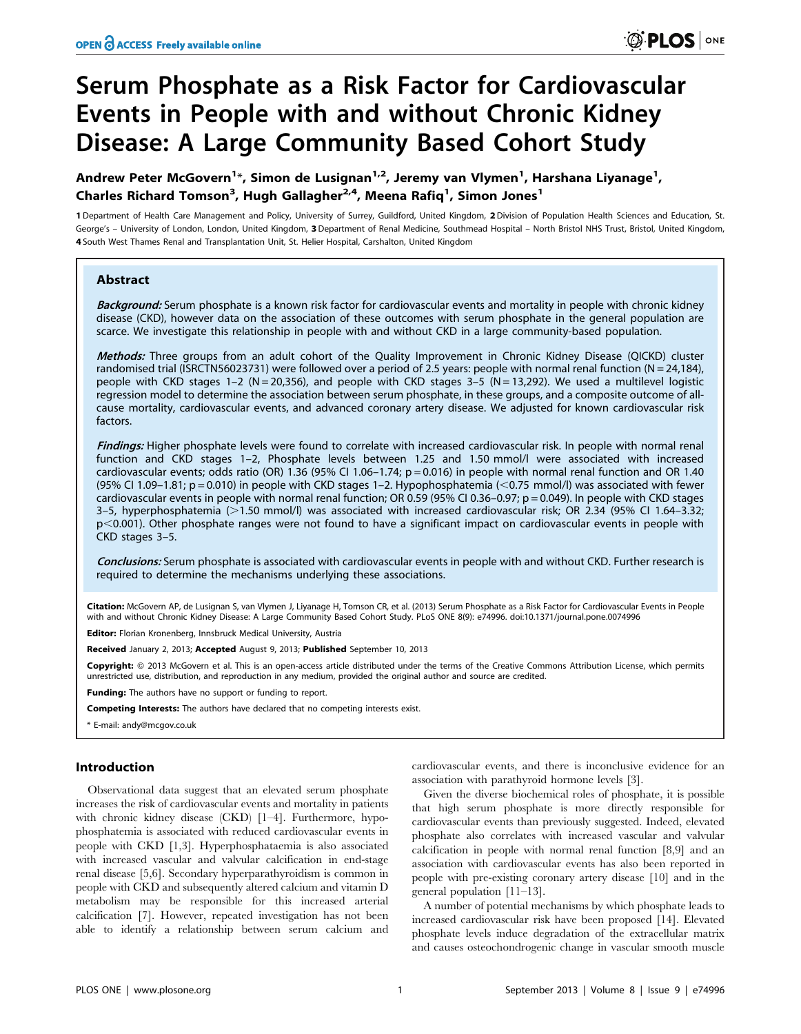# Serum Phosphate as a Risk Factor for Cardiovascular Events in People with and without Chronic Kidney Disease: A Large Community Based Cohort Study

Andrew Peter McGovern<sup>1</sup>\*, Simon de Lusignan<sup>1,2</sup>, Jeremy van Vlymen<sup>1</sup>, Harshana Liyanage<sup>1</sup>, Charles Richard Tomson<sup>3</sup>, Hugh Gallagher<sup>2,4</sup>, Meena Rafiq<sup>1</sup>, Simon Jones<sup>1</sup>

1 Department of Health Care Management and Policy, University of Surrey, Guildford, United Kingdom, 2Division of Population Health Sciences and Education, St. George's - University of London, London, United Kingdom, 3 Department of Renal Medicine, Southmead Hospital - North Bristol NHS Trust, Bristol, United Kingdom, 4 South West Thames Renal and Transplantation Unit, St. Helier Hospital, Carshalton, United Kingdom

### Abstract

Background: Serum phosphate is a known risk factor for cardiovascular events and mortality in people with chronic kidney disease (CKD), however data on the association of these outcomes with serum phosphate in the general population are scarce. We investigate this relationship in people with and without CKD in a large community-based population.

Methods: Three groups from an adult cohort of the Quality Improvement in Chronic Kidney Disease (QICKD) cluster randomised trial (ISRCTN56023731) were followed over a period of 2.5 years: people with normal renal function (N = 24.184). people with CKD stages 1–2 (N = 20,356), and people with CKD stages 3–5 (N = 13,292). We used a multilevel logistic regression model to determine the association between serum phosphate, in these groups, and a composite outcome of allcause mortality, cardiovascular events, and advanced coronary artery disease. We adjusted for known cardiovascular risk factors.

Findings: Higher phosphate levels were found to correlate with increased cardiovascular risk. In people with normal renal function and CKD stages 1–2, Phosphate levels between 1.25 and 1.50 mmol/l were associated with increased cardiovascular events; odds ratio (OR) 1.36 (95% CI 1.06–1.74; p = 0.016) in people with normal renal function and OR 1.40 (95% CI 1.09-1.81;  $p = 0.010$ ) in people with CKD stages 1-2. Hypophosphatemia (<0.75 mmol/l) was associated with fewer cardiovascular events in people with normal renal function; OR 0.59 (95% CI 0.36–0.97; p = 0.049). In people with CKD stages 3-5, hyperphosphatemia (>1.50 mmol/l) was associated with increased cardiovascular risk; OR 2.34 (95% CI 1.64-3.32; p<0.001). Other phosphate ranges were not found to have a significant impact on cardiovascular events in people with CKD stages 3–5.

Conclusions: Serum phosphate is associated with cardiovascular events in people with and without CKD. Further research is required to determine the mechanisms underlying these associations.

Citation: McGovern AP, de Lusignan S, van Vlymen J, Liyanage H, Tomson CR, et al. (2013) Serum Phosphate as a Risk Factor for Cardiovascular Events in People with and without Chronic Kidney Disease: A Large Community Based Cohort Study. PLoS ONE 8(9): e74996. doi:10.1371/journal.pone.0074996

Editor: Florian Kronenberg, Innsbruck Medical University, Austria

Received January 2, 2013; Accepted August 9, 2013; Published September 10, 2013

**Copyright:** © 2013 McGovern et al. This is an open-access article distributed under the terms of the Creative Commons Attribution License, which permits unrestricted use, distribution, and reproduction in any medium, provided the original author and source are credited.

Funding: The authors have no support or funding to report.

Competing Interests: The authors have declared that no competing interests exist.

\* E-mail: andy@mcgov.co.uk

## Introduction

Observational data suggest that an elevated serum phosphate increases the risk of cardiovascular events and mortality in patients with chronic kidney disease (CKD) [1-4]. Furthermore, hypophosphatemia is associated with reduced cardiovascular events in people with CKD [1,3]. Hyperphosphataemia is also associated with increased vascular and valvular calcification in end-stage renal disease [5,6]. Secondary hyperparathyroidism is common in people with CKD and subsequently altered calcium and vitamin D metabolism may be responsible for this increased arterial calcification [7]. However, repeated investigation has not been able to identify a relationship between serum calcium and cardiovascular events, and there is inconclusive evidence for an association with parathyroid hormone levels [3].

Given the diverse biochemical roles of phosphate, it is possible that high serum phosphate is more directly responsible for cardiovascular events than previously suggested. Indeed, elevated phosphate also correlates with increased vascular and valvular calcification in people with normal renal function [8,9] and an association with cardiovascular events has also been reported in people with pre-existing coronary artery disease [10] and in the general population [11–13].

A number of potential mechanisms by which phosphate leads to increased cardiovascular risk have been proposed [14]. Elevated phosphate levels induce degradation of the extracellular matrix and causes osteochondrogenic change in vascular smooth muscle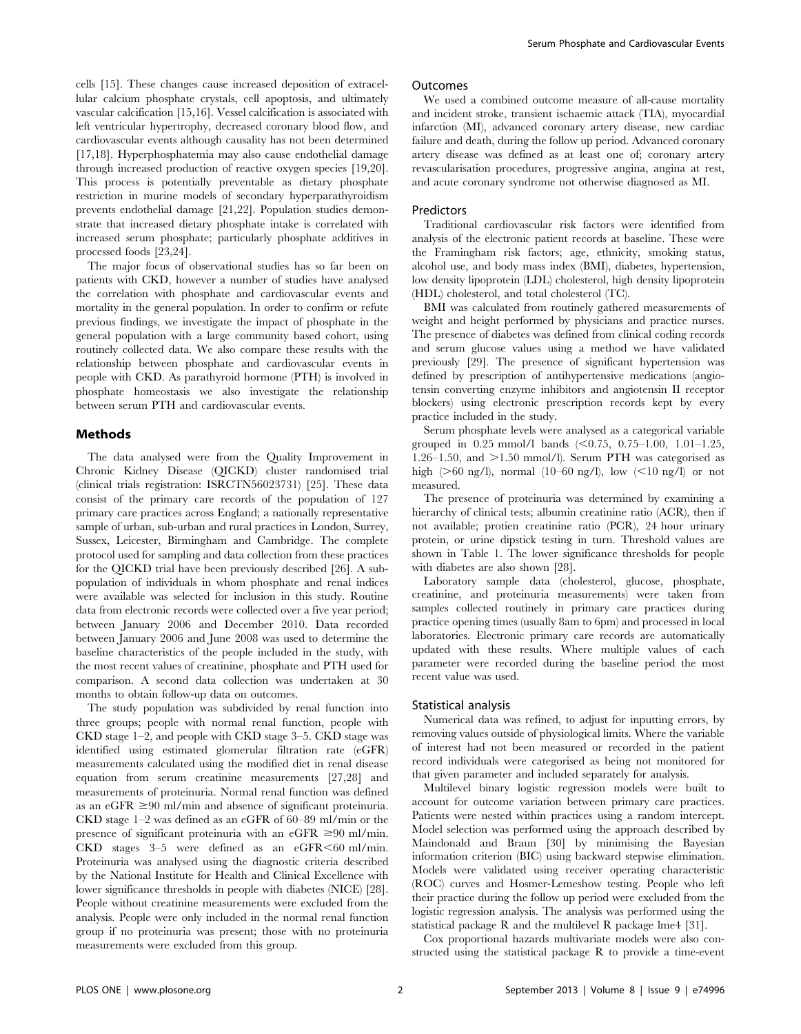cells [15]. These changes cause increased deposition of extracellular calcium phosphate crystals, cell apoptosis, and ultimately vascular calcification [15,16]. Vessel calcification is associated with left ventricular hypertrophy, decreased coronary blood flow, and cardiovascular events although causality has not been determined [17,18]. Hyperphosphatemia may also cause endothelial damage through increased production of reactive oxygen species [19,20]. This process is potentially preventable as dietary phosphate restriction in murine models of secondary hyperparathyroidism prevents endothelial damage [21,22]. Population studies demonstrate that increased dietary phosphate intake is correlated with increased serum phosphate; particularly phosphate additives in processed foods [23,24].

The major focus of observational studies has so far been on patients with CKD, however a number of studies have analysed the correlation with phosphate and cardiovascular events and mortality in the general population. In order to confirm or refute previous findings, we investigate the impact of phosphate in the general population with a large community based cohort, using routinely collected data. We also compare these results with the relationship between phosphate and cardiovascular events in people with CKD. As parathyroid hormone (PTH) is involved in phosphate homeostasis we also investigate the relationship between serum PTH and cardiovascular events.

## Methods

The data analysed were from the Quality Improvement in Chronic Kidney Disease (QICKD) cluster randomised trial (clinical trials registration: ISRCTN56023731) [25]. These data consist of the primary care records of the population of 127 primary care practices across England; a nationally representative sample of urban, sub-urban and rural practices in London, Surrey, Sussex, Leicester, Birmingham and Cambridge. The complete protocol used for sampling and data collection from these practices for the QICKD trial have been previously described [26]. A subpopulation of individuals in whom phosphate and renal indices were available was selected for inclusion in this study. Routine data from electronic records were collected over a five year period; between January 2006 and December 2010. Data recorded between January 2006 and June 2008 was used to determine the baseline characteristics of the people included in the study, with the most recent values of creatinine, phosphate and PTH used for comparison. A second data collection was undertaken at 30 months to obtain follow-up data on outcomes.

The study population was subdivided by renal function into three groups; people with normal renal function, people with CKD stage 1–2, and people with CKD stage 3–5. CKD stage was identified using estimated glomerular filtration rate (eGFR) measurements calculated using the modified diet in renal disease equation from serum creatinine measurements [27,28] and measurements of proteinuria. Normal renal function was defined as an eGFR  $\geq$ 90 ml/min and absence of significant proteinuria. CKD stage 1–2 was defined as an eGFR of 60–89 ml/min or the presence of significant proteinuria with an eGFR  $\geq 90$  ml/min. CKD stages  $3-5$  were defined as an eGFR $\leq 60$  ml/min. Proteinuria was analysed using the diagnostic criteria described by the National Institute for Health and Clinical Excellence with lower significance thresholds in people with diabetes (NICE) [28]. People without creatinine measurements were excluded from the analysis. People were only included in the normal renal function group if no proteinuria was present; those with no proteinuria measurements were excluded from this group.

#### **Outcomes**

We used a combined outcome measure of all-cause mortality and incident stroke, transient ischaemic attack (TIA), myocardial infarction (MI), advanced coronary artery disease, new cardiac failure and death, during the follow up period. Advanced coronary artery disease was defined as at least one of; coronary artery revascularisation procedures, progressive angina, angina at rest, and acute coronary syndrome not otherwise diagnosed as MI.

#### Predictors

Traditional cardiovascular risk factors were identified from analysis of the electronic patient records at baseline. These were the Framingham risk factors; age, ethnicity, smoking status, alcohol use, and body mass index (BMI), diabetes, hypertension, low density lipoprotein (LDL) cholesterol, high density lipoprotein (HDL) cholesterol, and total cholesterol (TC).

BMI was calculated from routinely gathered measurements of weight and height performed by physicians and practice nurses. The presence of diabetes was defined from clinical coding records and serum glucose values using a method we have validated previously [29]. The presence of significant hypertension was defined by prescription of antihypertensive medications (angiotensin converting enzyme inhibitors and angiotensin II receptor blockers) using electronic prescription records kept by every practice included in the study.

Serum phosphate levels were analysed as a categorical variable grouped in  $0.25$  mmol/l bands  $( $0.75$ ,  $0.75$ –1.00, 1.01–1.25,$ 1.26–1.50, and  $>1.50$  mmol/l). Serum PTH was categorised as high ( $>60$  ng/l), normal (10–60 ng/l), low ( $<10$  ng/l) or not measured.

The presence of proteinuria was determined by examining a hierarchy of clinical tests; albumin creatinine ratio (ACR), then if not available; protien creatinine ratio (PCR), 24 hour urinary protein, or urine dipstick testing in turn. Threshold values are shown in Table 1. The lower significance thresholds for people with diabetes are also shown [28].

Laboratory sample data (cholesterol, glucose, phosphate, creatinine, and proteinuria measurements) were taken from samples collected routinely in primary care practices during practice opening times (usually 8am to 6pm) and processed in local laboratories. Electronic primary care records are automatically updated with these results. Where multiple values of each parameter were recorded during the baseline period the most recent value was used.

#### Statistical analysis

Numerical data was refined, to adjust for inputting errors, by removing values outside of physiological limits. Where the variable of interest had not been measured or recorded in the patient record individuals were categorised as being not monitored for that given parameter and included separately for analysis.

Multilevel binary logistic regression models were built to account for outcome variation between primary care practices. Patients were nested within practices using a random intercept. Model selection was performed using the approach described by Maindonald and Braun [30] by minimising the Bayesian information criterion (BIC) using backward stepwise elimination. Models were validated using receiver operating characteristic (ROC) curves and Hosmer-Lemeshow testing. People who left their practice during the follow up period were excluded from the logistic regression analysis. The analysis was performed using the statistical package R and the multilevel R package lme4 [31].

Cox proportional hazards multivariate models were also constructed using the statistical package R to provide a time-event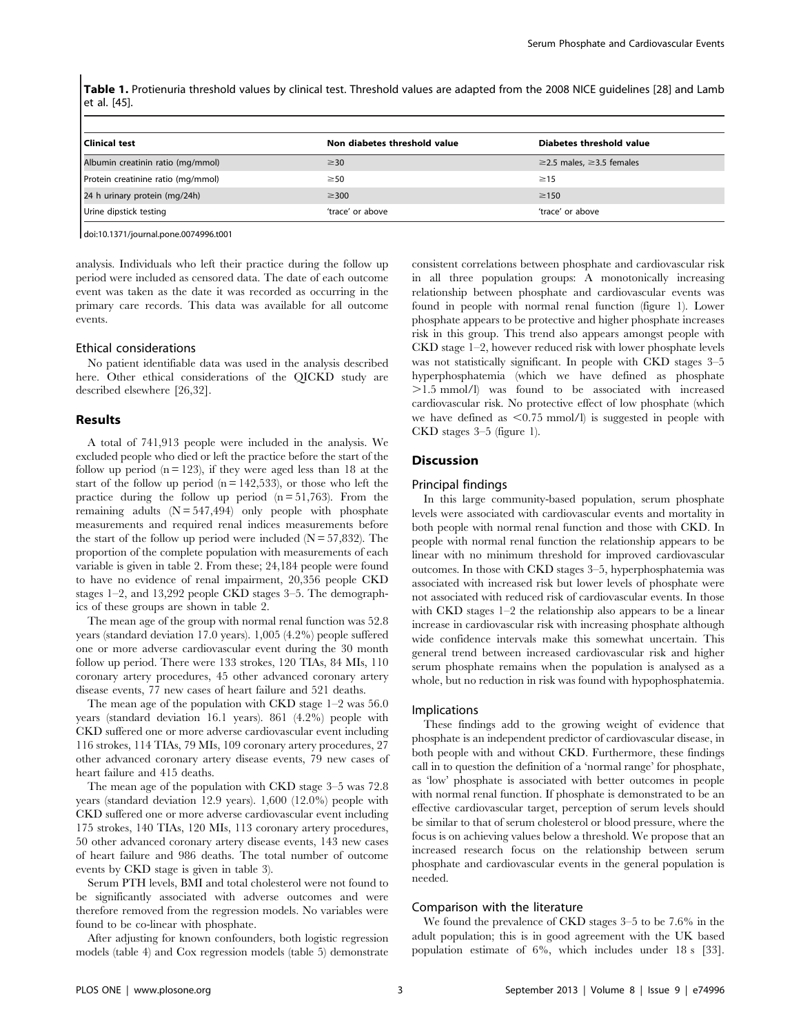Table 1. Protienuria threshold values by clinical test. Threshold values are adapted from the 2008 NICE guidelines [28] and Lamb et al. [45].

| l Clinical test                    | Non diabetes threshold value | Diabetes threshold value             |
|------------------------------------|------------------------------|--------------------------------------|
| Albumin creatinin ratio (mg/mmol)  | $\geq$ 30                    | $\geq$ 2.5 males, $\geq$ 3.5 females |
| Protein creatinine ratio (mg/mmol) | $\geq 50$                    | $\geq$ 15                            |
| 24 h urinary protein (mg/24h)      | $\geq$ 300                   | $\geq$ 150                           |
| Urine dipstick testing             | 'trace' or above             | 'trace' or above                     |

doi:10.1371/journal.pone.0074996.t001

analysis. Individuals who left their practice during the follow up period were included as censored data. The date of each outcome event was taken as the date it was recorded as occurring in the primary care records. This data was available for all outcome events.

#### Ethical considerations

No patient identifiable data was used in the analysis described here. Other ethical considerations of the QICKD study are described elsewhere [26,32].

## Results

A total of 741,913 people were included in the analysis. We excluded people who died or left the practice before the start of the follow up period  $(n = 123)$ , if they were aged less than 18 at the start of the follow up period  $(n = 142,533)$ , or those who left the practice during the follow up period  $(n = 51,763)$ . From the remaining adults  $(N = 547, 494)$  only people with phosphate measurements and required renal indices measurements before the start of the follow up period were included  $(N = 57,832)$ . The proportion of the complete population with measurements of each variable is given in table 2. From these; 24,184 people were found to have no evidence of renal impairment, 20,356 people CKD stages 1–2, and 13,292 people CKD stages 3–5. The demographics of these groups are shown in table 2.

The mean age of the group with normal renal function was 52.8 years (standard deviation 17.0 years). 1,005 (4.2%) people suffered one or more adverse cardiovascular event during the 30 month follow up period. There were 133 strokes, 120 TIAs, 84 MIs, 110 coronary artery procedures, 45 other advanced coronary artery disease events, 77 new cases of heart failure and 521 deaths.

The mean age of the population with CKD stage 1–2 was 56.0 years (standard deviation 16.1 years). 861 (4.2%) people with CKD suffered one or more adverse cardiovascular event including 116 strokes, 114 TIAs, 79 MIs, 109 coronary artery procedures, 27 other advanced coronary artery disease events, 79 new cases of heart failure and 415 deaths.

The mean age of the population with CKD stage 3–5 was 72.8 years (standard deviation 12.9 years). 1,600 (12.0%) people with CKD suffered one or more adverse cardiovascular event including 175 strokes, 140 TIAs, 120 MIs, 113 coronary artery procedures, 50 other advanced coronary artery disease events, 143 new cases of heart failure and 986 deaths. The total number of outcome events by CKD stage is given in table 3).

Serum PTH levels, BMI and total cholesterol were not found to be significantly associated with adverse outcomes and were therefore removed from the regression models. No variables were found to be co-linear with phosphate.

After adjusting for known confounders, both logistic regression models (table 4) and Cox regression models (table 5) demonstrate

consistent correlations between phosphate and cardiovascular risk in all three population groups: A monotonically increasing relationship between phosphate and cardiovascular events was found in people with normal renal function (figure 1). Lower phosphate appears to be protective and higher phosphate increases risk in this group. This trend also appears amongst people with CKD stage 1–2, however reduced risk with lower phosphate levels was not statistically significant. In people with CKD stages 3–5 hyperphosphatemia (which we have defined as phosphate .1.5 mmol/l) was found to be associated with increased cardiovascular risk. No protective effect of low phosphate (which we have defined as  $\leq 0.75$  mmol/l) is suggested in people with CKD stages 3–5 (figure 1).

#### **Discussion**

#### Principal findings

In this large community-based population, serum phosphate levels were associated with cardiovascular events and mortality in both people with normal renal function and those with CKD. In people with normal renal function the relationship appears to be linear with no minimum threshold for improved cardiovascular outcomes. In those with CKD stages 3–5, hyperphosphatemia was associated with increased risk but lower levels of phosphate were not associated with reduced risk of cardiovascular events. In those with CKD stages 1–2 the relationship also appears to be a linear increase in cardiovascular risk with increasing phosphate although wide confidence intervals make this somewhat uncertain. This general trend between increased cardiovascular risk and higher serum phosphate remains when the population is analysed as a whole, but no reduction in risk was found with hypophosphatemia.

#### Implications

These findings add to the growing weight of evidence that phosphate is an independent predictor of cardiovascular disease, in both people with and without CKD. Furthermore, these findings call in to question the definition of a 'normal range' for phosphate, as 'low' phosphate is associated with better outcomes in people with normal renal function. If phosphate is demonstrated to be an effective cardiovascular target, perception of serum levels should be similar to that of serum cholesterol or blood pressure, where the focus is on achieving values below a threshold. We propose that an increased research focus on the relationship between serum phosphate and cardiovascular events in the general population is needed.

## Comparison with the literature

We found the prevalence of CKD stages 3–5 to be 7.6% in the adult population; this is in good agreement with the UK based population estimate of 6%, which includes under 18 s [33].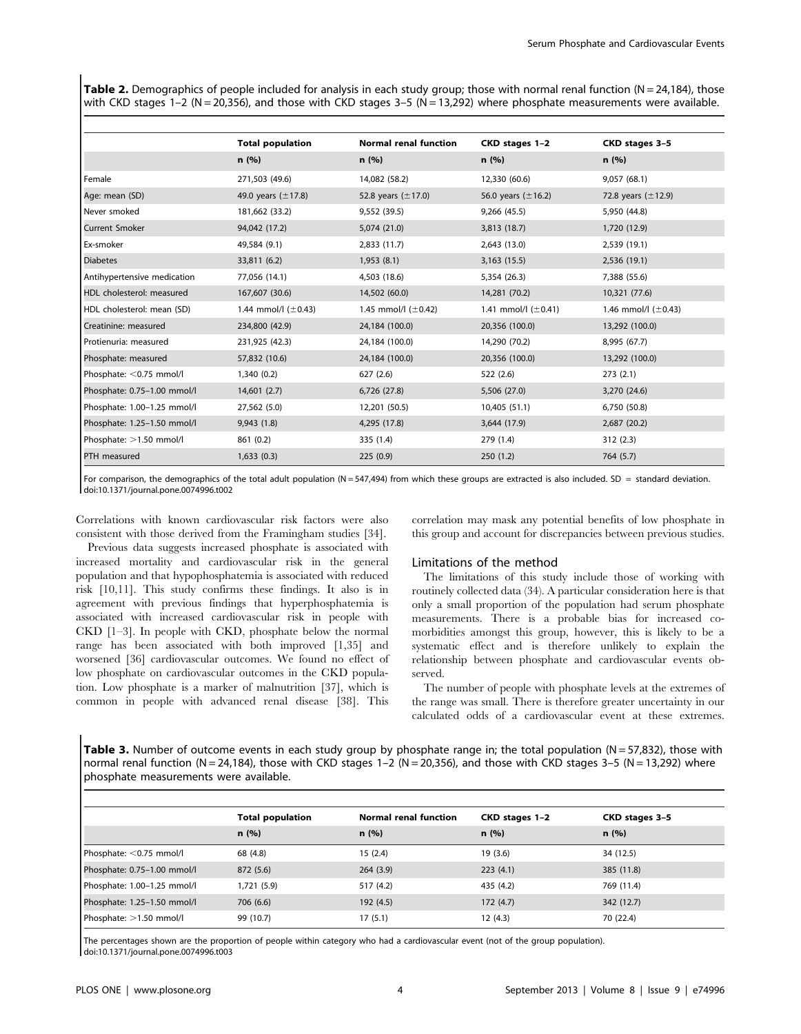Table 2. Demographics of people included for analysis in each study group; those with normal renal function ( $N = 24,184$ ), those with CKD stages 1–2 (N = 20,356), and those with CKD stages 3–5 (N = 13,292) where phosphate measurements were available.

|                             | <b>Total population</b>  | <b>Normal renal function</b> | CKD stages 1-2           | CKD stages 3-5           |
|-----------------------------|--------------------------|------------------------------|--------------------------|--------------------------|
|                             | n(%)                     | n(%)                         | n(%)                     | n(%)                     |
| Female                      | 271,503 (49.6)           | 14,082 (58.2)                | 12,330 (60.6)            | 9,057 (68.1)             |
| Age: mean (SD)              | 49.0 years $(\pm 17.8)$  | 52.8 years $(\pm 17.0)$      | 56.0 years $(\pm 16.2)$  | 72.8 years $(\pm 12.9)$  |
| Never smoked                | 181,662 (33.2)           | 9,552 (39.5)                 | 9,266 (45.5)             | 5,950 (44.8)             |
| <b>Current Smoker</b>       | 94,042 (17.2)            | 5,074 (21.0)                 | 3,813 (18.7)             | 1,720 (12.9)             |
| Ex-smoker                   | 49,584 (9.1)             | 2,833 (11.7)                 | 2,643 (13.0)             | 2,539 (19.1)             |
| <b>Diabetes</b>             | 33,811 (6.2)             | 1,953(8.1)                   | 3,163 (15.5)             | 2,536 (19.1)             |
| Antihypertensive medication | 77,056 (14.1)            | 4,503 (18.6)                 | 5,354 (26.3)             | 7,388 (55.6)             |
| HDL cholesterol: measured   | 167,607 (30.6)           | 14,502 (60.0)                | 14,281 (70.2)            | 10,321 (77.6)            |
| HDL cholesterol: mean (SD)  | 1.44 mmol/l $(\pm 0.43)$ | 1.45 mmol/l $(\pm 0.42)$     | 1.41 mmol/l $(\pm 0.41)$ | 1.46 mmol/l $(\pm 0.43)$ |
| Creatinine: measured        | 234,800 (42.9)           | 24,184 (100.0)               | 20,356 (100.0)           | 13,292 (100.0)           |
| Protienuria: measured       | 231,925 (42.3)           | 24,184 (100.0)               | 14,290 (70.2)            | 8,995 (67.7)             |
| Phosphate: measured         | 57,832 (10.6)            | 24,184 (100.0)               | 20,356 (100.0)           | 13,292 (100.0)           |
| Phosphate: <0.75 mmol/l     | 1,340 (0.2)              | 627(2.6)                     | 522 (2.6)                | 273(2.1)                 |
| Phosphate: 0.75-1.00 mmol/l | 14,601(2.7)              | 6,726 (27.8)                 | 5,506 (27.0)             | 3,270 (24.6)             |
| Phosphate: 1.00-1.25 mmol/l | 27,562 (5.0)             | 12,201 (50.5)                | 10,405 (51.1)            | 6,750 (50.8)             |
| Phosphate: 1.25-1.50 mmol/l | 9,943 (1.8)              | 4,295 (17.8)                 | 3,644 (17.9)             | 2,687 (20.2)             |
| Phosphate: >1.50 mmol/l     | 861 (0.2)                | 335 (1.4)                    | 279 (1.4)                | 312(2.3)                 |
| PTH measured                | 1,633(0.3)               | 225(0.9)                     | 250(1.2)                 | 764(5.7)                 |

For comparison, the demographics of the total adult population (N = 547,494) from which these groups are extracted is also included. SD = standard deviation. doi:10.1371/journal.pone.0074996.t002

Correlations with known cardiovascular risk factors were also consistent with those derived from the Framingham studies [34].

Previous data suggests increased phosphate is associated with increased mortality and cardiovascular risk in the general population and that hypophosphatemia is associated with reduced risk [10,11]. This study confirms these findings. It also is in agreement with previous findings that hyperphosphatemia is associated with increased cardiovascular risk in people with CKD [1–3]. In people with CKD, phosphate below the normal range has been associated with both improved [1,35] and worsened [36] cardiovascular outcomes. We found no effect of low phosphate on cardiovascular outcomes in the CKD population. Low phosphate is a marker of malnutrition [37], which is common in people with advanced renal disease [38]. This correlation may mask any potential benefits of low phosphate in this group and account for discrepancies between previous studies.

## Limitations of the method

The limitations of this study include those of working with routinely collected data (34). A particular consideration here is that only a small proportion of the population had serum phosphate measurements. There is a probable bias for increased comorbidities amongst this group, however, this is likely to be a systematic effect and is therefore unlikely to explain the relationship between phosphate and cardiovascular events observed.

The number of people with phosphate levels at the extremes of the range was small. There is therefore greater uncertainty in our calculated odds of a cardiovascular event at these extremes.

Table 3. Number of outcome events in each study group by phosphate range in; the total population ( $N = 57,832$ ), those with normal renal function (N = 24,184), those with CKD stages 1-2 (N = 20,356), and those with CKD stages 3-5 (N = 13,292) where phosphate measurements were available.

|                             | <b>Total population</b> | <b>Normal renal function</b> | CKD stages 1-2 | CKD stages 3-5 |
|-----------------------------|-------------------------|------------------------------|----------------|----------------|
|                             | n(%)                    | n(%)                         | n(%)           | n(%)           |
| Phosphate: <0.75 mmol/l     | 68 (4.8)                | 15(2.4)                      | 19(3.6)        | 34 (12.5)      |
| Phosphate: 0.75-1.00 mmol/l | 872 (5.6)               | 264(3.9)                     | 223(4.1)       | 385 (11.8)     |
| Phosphate: 1.00-1.25 mmol/l | 1,721 (5.9)             | 517 (4.2)                    | 435 (4.2)      | 769 (11.4)     |
| Phosphate: 1.25-1.50 mmol/l | 706 (6.6)               | 192 (4.5)                    | 172(4.7)       | 342 (12.7)     |
| Phosphate: >1.50 mmol/l     | 99 (10.7)               | 17(5.1)                      | 12(4.3)        | 70 (22.4)      |
|                             |                         |                              |                |                |

The percentages shown are the proportion of people within category who had a cardiovascular event (not of the group population). doi:10.1371/journal.pone.0074996.t003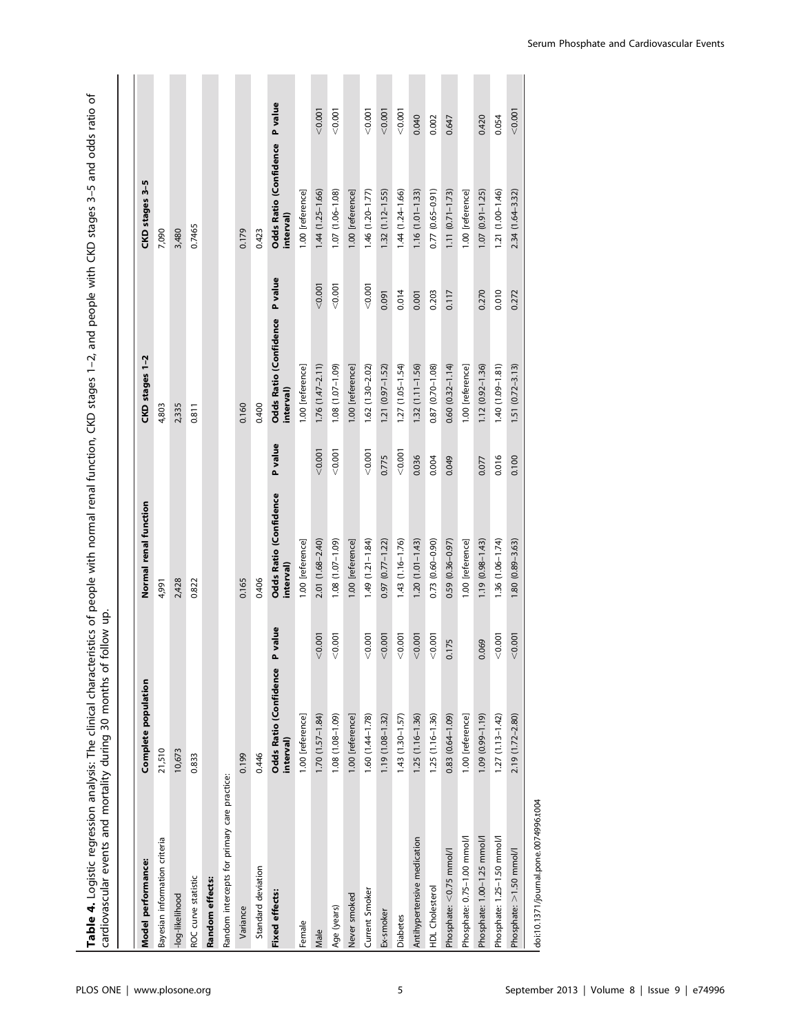| Table 4. Logistic regression analysis: The clinical characteristics of people with normal renal function, CKD stages 1-2, and people with CKD stages 3-5 and odds ratio of<br>cardiovascular events and mortality during 30 months of |                                     | follow up. |                                     |         |                                             |         |                                             |         |
|---------------------------------------------------------------------------------------------------------------------------------------------------------------------------------------------------------------------------------------|-------------------------------------|------------|-------------------------------------|---------|---------------------------------------------|---------|---------------------------------------------|---------|
|                                                                                                                                                                                                                                       |                                     |            |                                     |         |                                             |         |                                             |         |
| Model performance:                                                                                                                                                                                                                    | Complete population                 |            | Normal renal function               |         | CKD stages 1-2                              |         | CKD stages 3-5                              |         |
| Bayesian information criteria                                                                                                                                                                                                         | 21,510                              |            | 4,991                               |         | 4,803                                       |         | 7,090                                       |         |
| -log-likelihood                                                                                                                                                                                                                       | 10,673                              |            | 2,428                               |         | 2,335                                       |         | 3,480                                       |         |
| ROC curve statistic                                                                                                                                                                                                                   | 0.833                               |            | 0.822                               |         | 0.811                                       |         | 0.7465                                      |         |
| Random effects:                                                                                                                                                                                                                       |                                     |            |                                     |         |                                             |         |                                             |         |
| Random intercepts for primary care practice:                                                                                                                                                                                          |                                     |            |                                     |         |                                             |         |                                             |         |
| Variance                                                                                                                                                                                                                              | 0.199                               |            | 0.165                               |         | 0.160                                       |         | 0.179                                       |         |
| Standard deviation                                                                                                                                                                                                                    | 0.446                               |            | 0.406                               |         | 0.400                                       |         | 0.423                                       |         |
| Fixed effects:                                                                                                                                                                                                                        | Odds Ratio (Confidence<br>interval) | P value    | Odds Ratio (Confidence<br>interval) | P value | Odds Ratio (Confidence P value<br>interval) |         | Odds Ratio (Confidence P value<br>interval) |         |
| Female                                                                                                                                                                                                                                | 1.00 [reference]                    |            | 1.00 [reference]                    |         | 1.00 [reference]                            |         | 1.00 [reference]                            |         |
| Male                                                                                                                                                                                                                                  | $1.70(1.57 - 1.84)$                 | < 0.001    | 2.01 (1.68-2.40)                    | < 0.001 | $1.76(1.47 - 2.11)$                         | < 0.001 | 1,44 (1.25-1.66)                            | < 0.001 |
| Age (years)                                                                                                                                                                                                                           | 1.08 (1.08-1.09)                    | 0.001      | $1.08(1.07 - 1.09)$                 | 0.001   | $1.08(1.07 - 1.09)$                         | < 0.001 | 1.07 (1.06-1.08)                            | < 0.001 |
| Never smoked                                                                                                                                                                                                                          | 1.00 [reference]                    |            | 1.00 [reference]                    |         | 1.00 [reference]                            |         | 1.00 [reference]                            |         |
| Current Smoker                                                                                                                                                                                                                        | $1.60(1.44 - 1.78)$                 | 0.001      | $1.49(1.21 - 1.84)$                 | 0.001   | $1.62(1.30 - 2.02)$                         | < 0.001 | $1.46(1.20-1.77)$                           | < 0.001 |
| Ex-smoker                                                                                                                                                                                                                             | 1.19 (1.08-1.32)                    | < 0.001    | $0.97(0.77 - 1.22)$                 | 0.775   | $1.21 (0.97 - 1.52)$                        | 0.091   | $1.32(1.12 - 1.55)$                         | < 0.001 |
| <b>Diabetes</b>                                                                                                                                                                                                                       | 1.43 (1.30-1.57)                    | < 0.001    | $1.43(1.16 - 1.76)$                 | 0.001   | $1.27(1.05 - 1.54)$                         | 0.014   | 1.44 (1.24-1.66)                            | < 0.001 |
| Antihypertensive medication                                                                                                                                                                                                           | $1.25(1.16 - 1.36)$                 | < 0.001    | $1.20(1.01-1.43)$                   | 0.036   | $1.32(1.11 - 1.56)$                         | 0.001   | $1.16(1.01 - 1.33)$                         | 0.040   |
| HDL Cholesterol                                                                                                                                                                                                                       | $1.25(1.16 - 1.36)$                 | < 0.001    | $0.73$ $(0.60 - 0.90)$              | 0.004   | 0.87 (0.70-1.08)                            | 0.203   | 0.77 (0.65-0.91)                            | 0.002   |
| Phosphate: < 0.75 mmol/l                                                                                                                                                                                                              | $0.83$ $(0.64 - 1.09)$              | 0.175      | $0.59(0.36 - 0.97)$                 | 0.049   | $0.60(0.32 - 1.14)$                         | 0.117   | $1.11(0.71 - 1.73)$                         | 0.647   |
| Phosphate: 0.75-1.00 mmol/l                                                                                                                                                                                                           | 1.00 [reference]                    |            | 1.00 [reference]                    |         | 1.00 [reference]                            |         | 1.00 [reference]                            |         |
| Phosphate: 1.00-1.25 mmol/l                                                                                                                                                                                                           | 1.09 (0.99-1.19)                    | 0.069      | $1.19(0.98 - 1.43)$                 | 0.077   | 1.12 (0.92-1.36)                            | 0.270   | $1.07(0.91 - 1.25)$                         | 0.420   |
| Phosphate: 1.25-1.50 mmol/l                                                                                                                                                                                                           | $1.27(1.13 - 1.42)$                 | < 0.001    | $1.36(1.06 - 1.74)$                 | 0.016   | 1.40 (1.09-1.81)                            | 0.010   | 1.21 (1.00-1.46)                            | 0.054   |
| Phosphate: >1.50 mmol/                                                                                                                                                                                                                | 2.19 (1.72-2.80)                    | < 0.001    | 1.80 (0.89-3.63)                    | 0.100   | $1.51(0.72 - 3.13)$                         | 0.272   | 2.34 (1.64-3.32)                            | < 0.001 |

 $\vert$  doi:10.1371/journal.pone.0074996.t004

doi:10.1371/journal.pone.0074996.t004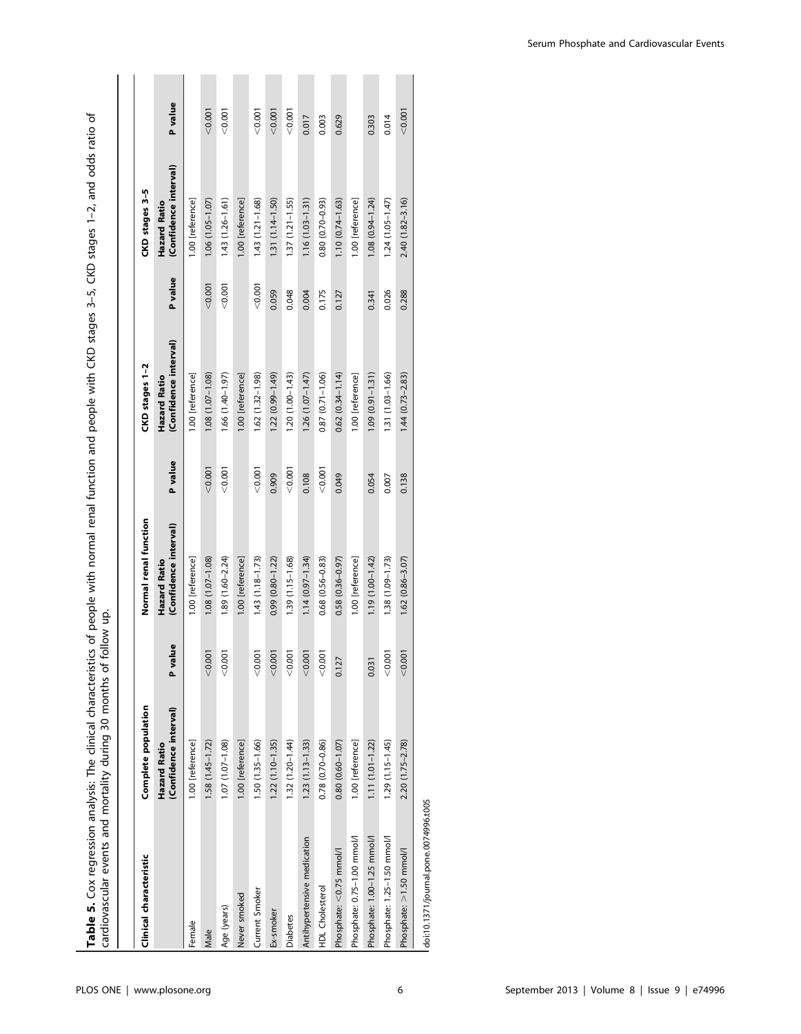**Table 5.** Cox regression analysis: The clinical characteristics of people with normal renal function and people with CKD stages 3–5, CKD stages 1–2, and odds ratio of<br>cardiovascular events and mortality during 30 months o Table 5. Cox regression analysis: The clinical characteristics of people with normal renal function and people with CKD stages 3–5, CKD stages 1–2, and odds ratio of cardiovascular events and mortality during 30 months of follow up.

| Clinical characteristic               | Complete population                   |         | Normal renal function                 |         | CKD stages 1-2                        |         | CKD stages 3-5                        |         |
|---------------------------------------|---------------------------------------|---------|---------------------------------------|---------|---------------------------------------|---------|---------------------------------------|---------|
|                                       | (Confidence interval)<br>Hazard Ratio | P value | (Confidence interval)<br>Hazard Ratio | P value | (Confidence interval)<br>Hazard Ratio | P value | (Confidence interval)<br>Hazard Ratio | P value |
| Female                                | 1.00 [reference]                      |         | 1.00 [reference]                      |         | 1.00 [reference]                      |         | 1.00 [reference]                      |         |
| Male                                  | $1.58(1.45 - 1.72)$                   | < 0.001 | 1.08 (1.07-1.08)                      | < 0.001 | 1.08 (1.07-1.08)                      | < 0.001 | $1.06(1.05 - 1.07)$                   | < 0.001 |
| Age (years)                           | $1.07(1.07 - 1.08)$                   | < 0.001 | $1.89(1.60 - 2.24)$                   | < 0.001 | $1.66$ $(1.40 - 1.97)$                | 0.001   | $1.43(1.26 - 1.61)$                   | < 0.001 |
| Never smoked                          | 1.00 [reference]                      |         | 1.00 [reference]                      |         | 1.00 [reference]                      |         | 1.00 [reference]                      |         |
| Current Smoker                        | 1.50 (1.35-1.66)                      | < 0.001 | $1.43(1.18 - 1.73)$                   | < 0.001 | 1.62 (1.32-1.98)                      | < 0.001 | $1.43(1.21 - 1.68)$                   | < 0.001 |
| Ex-smoker                             | $1.22(1.10 - 1.35)$                   | < 0.001 | $0.99(0.80 - 1.22)$                   | 0.909   | 1.22 (0.99-1.49)                      | 0.059   | $1.31(1.14 - 1.50)$                   | < 0.001 |
| <b>Diabetes</b>                       | 1.32 (1.20-1.44)                      | 0.001   | 1.39 (1.15-1.68)                      | < 0.001 | $1.20(1.00 - 1.43)$                   | 0.048   | $1.37(1.21 - 1.55)$                   | < 0.001 |
| Antihypertensive medication           | $1.23(1.13-1.33)$                     | < 0.001 | $1.14(0.97 - 1.34)$                   | 0.108   | $1.26(1.07 - 1.47)$                   | 0.004   | $1.16(1.03 - 1.31)$                   | 0.017   |
| HDL Cholesterol                       | $0.78$ $(0.70 - 0.86)$                | < 0.001 | $0.68$ $(0.56 - 0.83)$                | < 0.001 | $0.87(0.71 - 1.06)$                   | 0.175   | $0.80(0.70-0.93)$                     | 0.003   |
| Phosphate: < 0.75 mmol/l              | $0.80(0.60 - 1.07)$                   | 0.127   | $0.58$ $(0.36 - 0.97)$                | 0.049   | $0.62(0.34 - 1.14)$                   | 0.127   | $1.10(0.74 - 1.63)$                   | 0.629   |
| Phosphate: 0.75-1.00 mmol/l           | 1.00 [reference]                      |         | 1.00 [reference]                      |         | 1.00 [reference]                      |         | 1.00 [reference]                      |         |
| Phosphate: 1.00-1.25 mmol/l           | $1.11(1.01-1.22)$                     | 0.031   | $1.19(1.00 - 1.42)$                   | 0.054   | $1.09(0.91 - 1.31)$                   | 0.341   | $1.08(0.94 - 1.24)$                   | 0.303   |
| Phosphate: 1.25-1.50 mmol/l           | $1.29(1.15 - 1.45)$                   | < 0.001 | 1.38 (1.09-1.73)                      | 0.007   | 1.31 (1.03-1.66)                      | 0.026   | $1.24(1.05 - 1.47)$                   | 0.014   |
| Phosphate: >1.50 mmol/l               | 2.20 (1.75-2.78)                      | < 0.001 | $1.62(0.86 - 3.07)$                   | 0.138   | $1.44(0.73 - 2.83)$                   | 0.288   | 2.40 (1.82-3.16)                      | < 0.001 |
| doi:10.1371/journal.pone.0074996.t005 |                                       |         |                                       |         |                                       |         |                                       |         |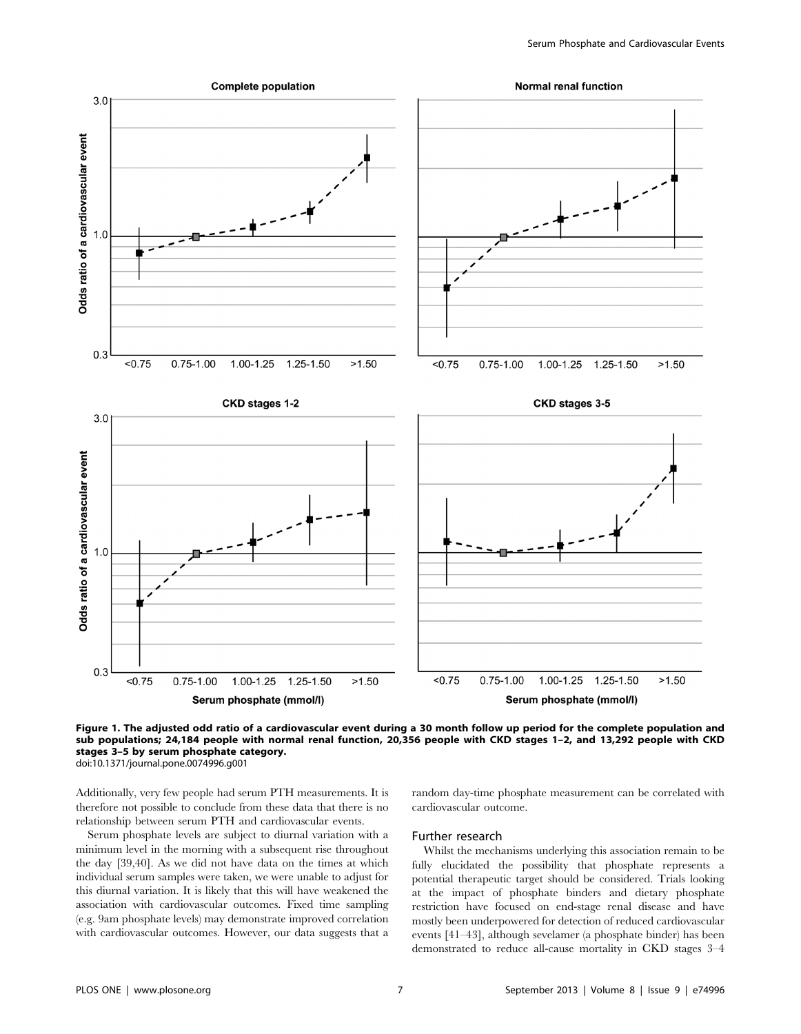

Figure 1. The adjusted odd ratio of a cardiovascular event during a 30 month follow up period for the complete population and sub populations; 24,184 people with normal renal function, 20,356 people with CKD stages 1–2, and 13,292 people with CKD stages 3–5 by serum phosphate category. doi:10.1371/journal.pone.0074996.g001

Additionally, very few people had serum PTH measurements. It is therefore not possible to conclude from these data that there is no relationship between serum PTH and cardiovascular events.

Serum phosphate levels are subject to diurnal variation with a minimum level in the morning with a subsequent rise throughout the day [39,40]. As we did not have data on the times at which individual serum samples were taken, we were unable to adjust for this diurnal variation. It is likely that this will have weakened the association with cardiovascular outcomes. Fixed time sampling (e.g. 9am phosphate levels) may demonstrate improved correlation with cardiovascular outcomes. However, our data suggests that a

random day-time phosphate measurement can be correlated with cardiovascular outcome.

#### Further research

Whilst the mechanisms underlying this association remain to be fully elucidated the possibility that phosphate represents a potential therapeutic target should be considered. Trials looking at the impact of phosphate binders and dietary phosphate restriction have focused on end-stage renal disease and have mostly been underpowered for detection of reduced cardiovascular events [41–43], although sevelamer (a phosphate binder) has been demonstrated to reduce all-cause mortality in CKD stages 3–4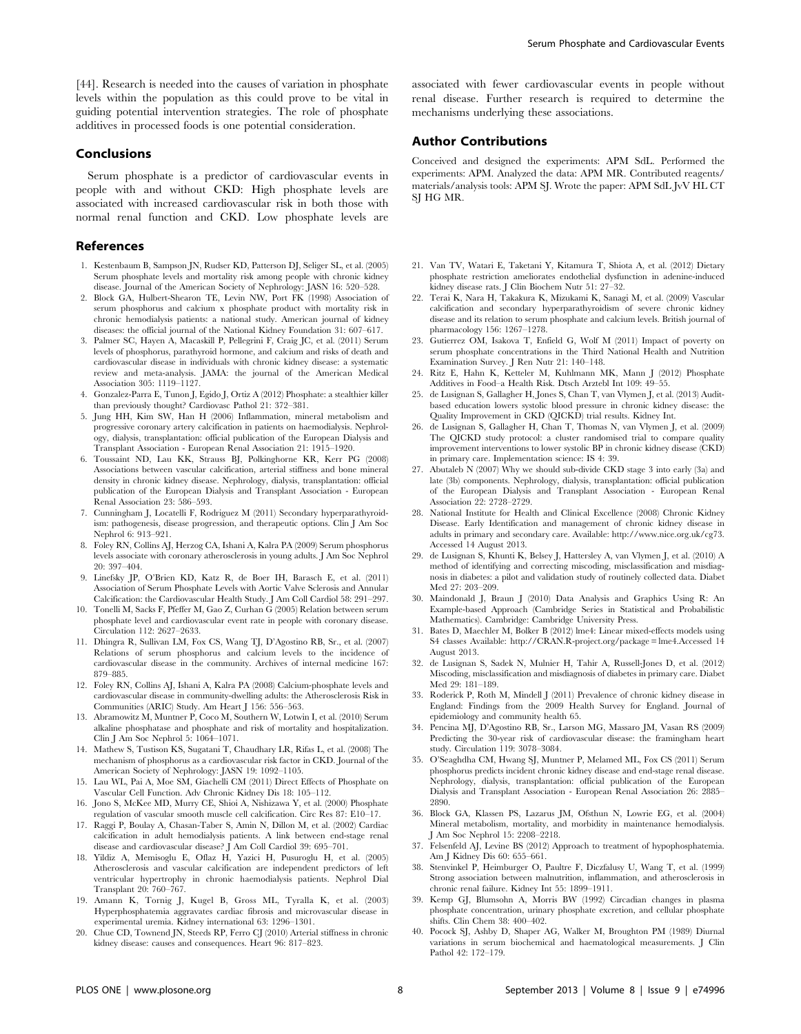## Conclusions

Serum phosphate is a predictor of cardiovascular events in people with and without CKD: High phosphate levels are associated with increased cardiovascular risk in both those with normal renal function and CKD. Low phosphate levels are

guiding potential intervention strategies. The role of phosphate additives in processed foods is one potential consideration.

## References

- 1. Kestenbaum B, Sampson JN, Rudser KD, Patterson DJ, Seliger SL, et al. (2005) Serum phosphate levels and mortality risk among people with chronic kidney disease. Journal of the American Society of Nephrology: JASN 16: 520–528.
- 2. Block GA, Hulbert-Shearon TE, Levin NW, Port FK (1998) Association of serum phosphorus and calcium x phosphate product with mortality risk in chronic hemodialysis patients: a national study. American journal of kidney diseases: the official journal of the National Kidney Foundation 31: 607–617.
- 3. Palmer SC, Hayen A, Macaskill P, Pellegrini F, Craig JC, et al. (2011) Serum levels of phosphorus, parathyroid hormone, and calcium and risks of death and cardiovascular disease in individuals with chronic kidney disease: a systematic review and meta-analysis. JAMA: the journal of the American Medical Association 305: 1119–1127.
- 4. Gonzalez-Parra E, Tunon J, Egido J, Ortiz A (2012) Phosphate: a stealthier killer than previously thought? Cardiovasc Pathol 21: 372–381.
- 5. Jung HH, Kim SW, Han H (2006) Inflammation, mineral metabolism and progressive coronary artery calcification in patients on haemodialysis. Nephrology, dialysis, transplantation: official publication of the European Dialysis and Transplant Association - European Renal Association 21: 1915–1920.
- 6. Toussaint ND, Lau KK, Strauss BJ, Polkinghorne KR, Kerr PG (2008) Associations between vascular calcification, arterial stiffness and bone mineral density in chronic kidney disease. Nephrology, dialysis, transplantation: official publication of the European Dialysis and Transplant Association - European Renal Association 23: 586–593.
- 7. Cunningham J, Locatelli F, Rodriguez M (2011) Secondary hyperparathyroidism: pathogenesis, disease progression, and therapeutic options. Clin J Am Soc Nephrol 6: 913–921.
- 8. Foley RN, Collins AJ, Herzog CA, Ishani A, Kalra PA (2009) Serum phosphorus levels associate with coronary atherosclerosis in young adults. J Am Soc Nephrol 20: 397–404.
- 9. Linefsky JP, O'Brien KD, Katz R, de Boer IH, Barasch E, et al. (2011) Association of Serum Phosphate Levels with Aortic Valve Sclerosis and Annular Calcification: the Cardiovascular Health Study. J Am Coll Cardiol 58: 291–297.
- 10. Tonelli M, Sacks F, Pfeffer M, Gao Z, Curhan G (2005) Relation between serum phosphate level and cardiovascular event rate in people with coronary disease. Circulation 112: 2627–2633.
- 11. Dhingra R, Sullivan LM, Fox CS, Wang TJ, D'Agostino RB, Sr., et al. (2007) Relations of serum phosphorus and calcium levels to the incidence of cardiovascular disease in the community. Archives of internal medicine 167: 879–885.
- 12. Foley RN, Collins AJ, Ishani A, Kalra PA (2008) Calcium-phosphate levels and cardiovascular disease in community-dwelling adults: the Atherosclerosis Risk in Communities (ARIC) Study. Am Heart J 156: 556–563.
- 13. Abramowitz M, Muntner P, Coco M, Southern W, Lotwin I, et al. (2010) Serum alkaline phosphatase and phosphate and risk of mortality and hospitalization. Clin J Am Soc Nephrol 5: 1064–1071.
- 14. Mathew S, Tustison KS, Sugatani T, Chaudhary LR, Rifas L, et al. (2008) The mechanism of phosphorus as a cardiovascular risk factor in CKD. Journal of the American Society of Nephrology: JASN 19: 1092–1105.
- 15. Lau WL, Pai A, Moe SM, Giachelli CM (2011) Direct Effects of Phosphate on Vascular Cell Function. Adv Chronic Kidney Dis 18: 105–112.
- 16. Jono S, McKee MD, Murry CE, Shioi A, Nishizawa Y, et al. (2000) Phosphate regulation of vascular smooth muscle cell calcification. Circ Res 87: E10–17.
- 17. Raggi P, Boulay A, Chasan-Taber S, Amin N, Dillon M, et al. (2002) Cardiac calcification in adult hemodialysis patients. A link between end-stage renal disease and cardiovascular disease? J Am Coll Cardiol 39: 695–701.
- 18. Yildiz A, Memisoglu E, Oflaz H, Yazici H, Pusuroglu H, et al. (2005) Atherosclerosis and vascular calcification are independent predictors of left ventricular hypertrophy in chronic haemodialysis patients. Nephrol Dial Transplant 20: 760–767.
- 19. Amann K, Tornig J, Kugel B, Gross ML, Tyralla K, et al. (2003) Hyperphosphatemia aggravates cardiac fibrosis and microvascular disease in experimental uremia. Kidney international 63: 1296–1301.
- 20. Chue CD, Townend JN, Steeds RP, Ferro CJ (2010) Arterial stiffness in chronic kidney disease: causes and consequences. Heart 96: 817–823.

associated with fewer cardiovascular events in people without renal disease. Further research is required to determine the mechanisms underlying these associations.

## Author Contributions

Conceived and designed the experiments: APM SdL. Performed the experiments: APM. Analyzed the data: APM MR. Contributed reagents/ materials/analysis tools: APM SJ. Wrote the paper: APM SdL JvV HL CT SJ HG MR.

- 21. Van TV, Watari E, Taketani Y, Kitamura T, Shiota A, et al. (2012) Dietary phosphate restriction ameliorates endothelial dysfunction in adenine-induced kidney disease rats. J Clin Biochem Nutr 51: 27–32.
- 22. Terai K, Nara H, Takakura K, Mizukami K, Sanagi M, et al. (2009) Vascular calcification and secondary hyperparathyroidism of severe chronic kidney disease and its relation to serum phosphate and calcium levels. British journal of pharmacology 156: 1267–1278.
- 23. Gutierrez OM, Isakova T, Enfield G, Wolf M (2011) Impact of poverty on serum phosphate concentrations in the Third National Health and Nutrition Examination Survey. J Ren Nutr 21: 140–148.
- 24. Ritz E, Hahn K, Ketteler M, Kuhlmann MK, Mann J (2012) Phosphate Additives in Food–a Health Risk. Dtsch Arztebl Int 109: 49–55.
- 25. de Lusignan S, Gallagher H, Jones S, Chan T, van Vlymen J, et al. (2013) Auditbased education lowers systolic blood pressure in chronic kidney disease: the Quality Improvement in CKD (QICKD) trial results. Kidney Int.
- 26. de Lusignan S, Gallagher H, Chan T, Thomas N, van Vlymen J, et al. (2009) The QICKD study protocol: a cluster randomised trial to compare quality improvement interventions to lower systolic BP in chronic kidney disease (CKD) in primary care. Implementation science: IS 4: 39.
- 27. Abutaleb N (2007) Why we should sub-divide CKD stage 3 into early (3a) and late (3b) components. Nephrology, dialysis, transplantation: official publication of the European Dialysis and Transplant Association - European Renal Association 22: 2728–2729.
- 28. National Institute for Health and Clinical Excellence (2008) Chronic Kidney Disease. Early Identification and management of chronic kidney disease in adults in primary and secondary care. Available: http://www.nice.org.uk/cg73. Accessed 14 August 2013.
- 29. de Lusignan S, Khunti K, Belsey J, Hattersley A, van Vlymen J, et al. (2010) A method of identifying and correcting miscoding, misclassification and misdiagnosis in diabetes: a pilot and validation study of routinely collected data. Diabet Med 27: 203–209.
- 30. Maindonald J, Braun J (2010) Data Analysis and Graphics Using R: An Example-based Approach (Cambridge Series in Statistical and Probabilistic Mathematics). Cambridge: Cambridge University Press.
- 31. Bates D, Maechler M, Bolker B (2012) lme4: Linear mixed-effects models using S4 classes Available: http://CRAN.R-project.org/package = lme4.Accessed 14 August 2013.
- 32. de Lusignan S, Sadek N, Mulnier H, Tahir A, Russell-Jones D, et al. (2012) Miscoding, misclassification and misdiagnosis of diabetes in primary care. Diabet Med 29: 181–189.
- 33. Roderick P, Roth M, Mindell J (2011) Prevalence of chronic kidney disease in England: Findings from the 2009 Health Survey for England. Journal of epidemiology and community health 65.
- 34. Pencina MJ, D'Agostino RB, Sr., Larson MG, Massaro JM, Vasan RS (2009) Predicting the 30-year risk of cardiovascular disease: the framingham heart study. Circulation 119: 3078–3084.
- 35. O'Seaghdha CM, Hwang SJ, Muntner P, Melamed ML, Fox CS (2011) Serum phosphorus predicts incident chronic kidney disease and end-stage renal disease. Nephrology, dialysis, transplantation: official publication of the European Dialysis and Transplant Association - European Renal Association 26: 2885– 2890.
- 36. Block GA, Klassen PS, Lazarus JM, Ofsthun N, Lowrie EG, et al. (2004) Mineral metabolism, mortality, and morbidity in maintenance hemodialysis. J Am Soc Nephrol 15: 2208–2218.
- 37. Felsenfeld AJ, Levine BS (2012) Approach to treatment of hypophosphatemia. Am J Kidney Dis 60: 655–661.
- 38. Stenvinkel P, Heimburger O, Paultre F, Diczfalusy U, Wang T, et al. (1999) Strong association between malnutrition, inflammation, and atherosclerosis in chronic renal failure. Kidney Int 55: 1899–1911.
- 39. Kemp GJ, Blumsohn A, Morris BW (1992) Circadian changes in plasma phosphate concentration, urinary phosphate excretion, and cellular phosphate shifts. Clin Chem 38: 400–402.
- 40. Pocock SJ, Ashby D, Shaper AG, Walker M, Broughton PM (1989) Diurnal variations in serum biochemical and haematological measurements. J Clin Pathol 42: 172–179.